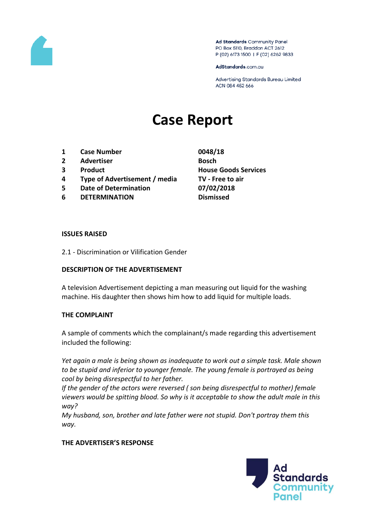

Ad Standards Community Panel PO Box 5110, Braddon ACT 2612 P (02) 6173 1500 | F (02) 6262 9833

AdStandards.com.au

Advertising Standards Bureau Limited ACN 084 452 666

# **Case Report**

- **1 Case Number 0048/18**
- **2 Advertiser Bosch**
- 
- **4 Type of Advertisement / media TV - Free to air**
- **5 Date of Determination 07/02/2018**
- **6 DETERMINATION Dismissed**
- **3 Product House Goods Services**

#### **ISSUES RAISED**

2.1 - Discrimination or Vilification Gender

### **DESCRIPTION OF THE ADVERTISEMENT**

A television Advertisement depicting a man measuring out liquid for the washing machine. His daughter then shows him how to add liquid for multiple loads.

### **THE COMPLAINT**

A sample of comments which the complainant/s made regarding this advertisement included the following:

*Yet again a male is being shown as inadequate to work out a simple task. Male shown to be stupid and inferior to younger female. The young female is portrayed as being cool by being disrespectful to her father.*

*If the gender of the actors were reversed ( son being disrespectful to mother) female viewers would be spitting blood. So why is it acceptable to show the adult male in this way?*

*My husband, son, brother and late father were not stupid. Don't portray them this way.*

### **THE ADVERTISER'S RESPONSE**

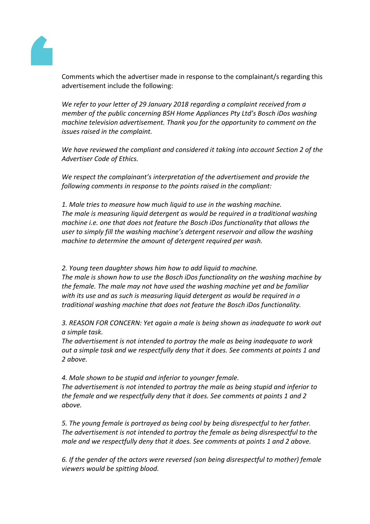

Comments which the advertiser made in response to the complainant/s regarding this advertisement include the following:

*We refer to your letter of 29 January 2018 regarding a complaint received from a member of the public concerning BSH Home Appliances Pty Ltd's Bosch iDos washing machine television advertisement. Thank you for the opportunity to comment on the issues raised in the complaint.*

*We have reviewed the compliant and considered it taking into account Section 2 of the Advertiser Code of Ethics.* 

*We respect the complainant's interpretation of the advertisement and provide the following comments in response to the points raised in the compliant:*

*1. Male tries to measure how much liquid to use in the washing machine. The male is measuring liquid detergent as would be required in a traditional washing machine i.e. one that does not feature the Bosch iDos functionality that allows the user to simply fill the washing machine's detergent reservoir and allow the washing machine to determine the amount of detergent required per wash.*

*2. Young teen daughter shows him how to add liquid to machine. The male is shown how to use the Bosch iDos functionality on the washing machine by the female. The male may not have used the washing machine yet and be familiar with its use and as such is measuring liquid detergent as would be required in a traditional washing machine that does not feature the Bosch iDos functionality.*

*3. REASON FOR CONCERN: Yet again a male is being shown as inadequate to work out a simple task.* 

*The advertisement is not intended to portray the male as being inadequate to work out a simple task and we respectfully deny that it does. See comments at points 1 and 2 above.*

*4. Male shown to be stupid and inferior to younger female. The advertisement is not intended to portray the male as being stupid and inferior to the female and we respectfully deny that it does. See comments at points 1 and 2 above.*

*5. The young female is portrayed as being cool by being disrespectful to her father. The advertisement is not intended to portray the female as being disrespectful to the male and we respectfully deny that it does. See comments at points 1 and 2 above.*

*6. If the gender of the actors were reversed (son being disrespectful to mother) female viewers would be spitting blood.*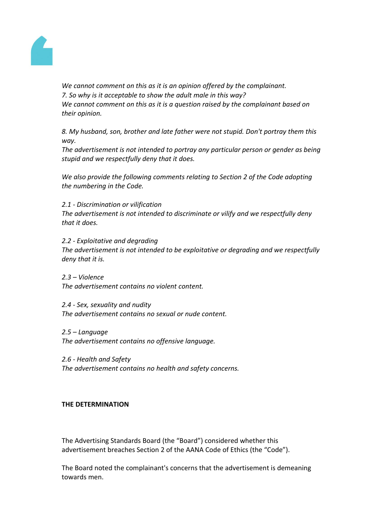

*We cannot comment on this as it is an opinion offered by the complainant. 7. So why is it acceptable to show the adult male in this way? We cannot comment on this as it is a question raised by the complainant based on their opinion.*

*8. My husband, son, brother and late father were not stupid. Don't portray them this way.*

*The advertisement is not intended to portray any particular person or gender as being stupid and we respectfully deny that it does.*

*We also provide the following comments relating to Section 2 of the Code adopting the numbering in the Code.*

*2.1 - Discrimination or vilification*

*The advertisement is not intended to discriminate or vilify and we respectfully deny that it does.*

*2.2 - Exploitative and degrading The advertisement is not intended to be exploitative or degrading and we respectfully deny that it is.*

*2.3 – Violence The advertisement contains no violent content.*

*2.4 - Sex, sexuality and nudity The advertisement contains no sexual or nude content.*

*2.5 – Language The advertisement contains no offensive language.*

*2.6 - Health and Safety The advertisement contains no health and safety concerns.*

## **THE DETERMINATION**

The Advertising Standards Board (the "Board") considered whether this advertisement breaches Section 2 of the AANA Code of Ethics (the "Code").

The Board noted the complainant's concerns that the advertisement is demeaning towards men.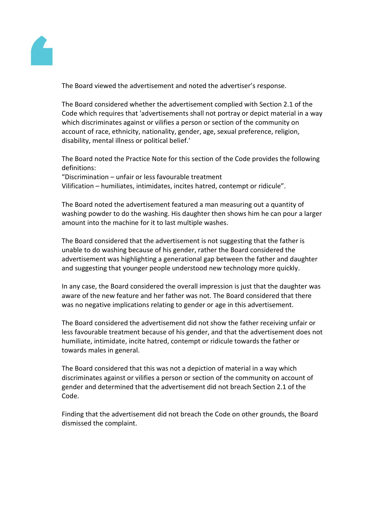

The Board viewed the advertisement and noted the advertiser's response.

The Board considered whether the advertisement complied with Section 2.1 of the Code which requires that 'advertisements shall not portray or depict material in a way which discriminates against or vilifies a person or section of the community on account of race, ethnicity, nationality, gender, age, sexual preference, religion, disability, mental illness or political belief.'

The Board noted the Practice Note for this section of the Code provides the following definitions:

"Discrimination – unfair or less favourable treatment Vilification – humiliates, intimidates, incites hatred, contempt or ridicule".

The Board noted the advertisement featured a man measuring out a quantity of washing powder to do the washing. His daughter then shows him he can pour a larger amount into the machine for it to last multiple washes.

The Board considered that the advertisement is not suggesting that the father is unable to do washing because of his gender, rather the Board considered the advertisement was highlighting a generational gap between the father and daughter and suggesting that younger people understood new technology more quickly.

In any case, the Board considered the overall impression is just that the daughter was aware of the new feature and her father was not. The Board considered that there was no negative implications relating to gender or age in this advertisement.

The Board considered the advertisement did not show the father receiving unfair or less favourable treatment because of his gender, and that the advertisement does not humiliate, intimidate, incite hatred, contempt or ridicule towards the father or towards males in general.

The Board considered that this was not a depiction of material in a way which discriminates against or vilifies a person or section of the community on account of gender and determined that the advertisement did not breach Section 2.1 of the Code.

Finding that the advertisement did not breach the Code on other grounds, the Board dismissed the complaint.